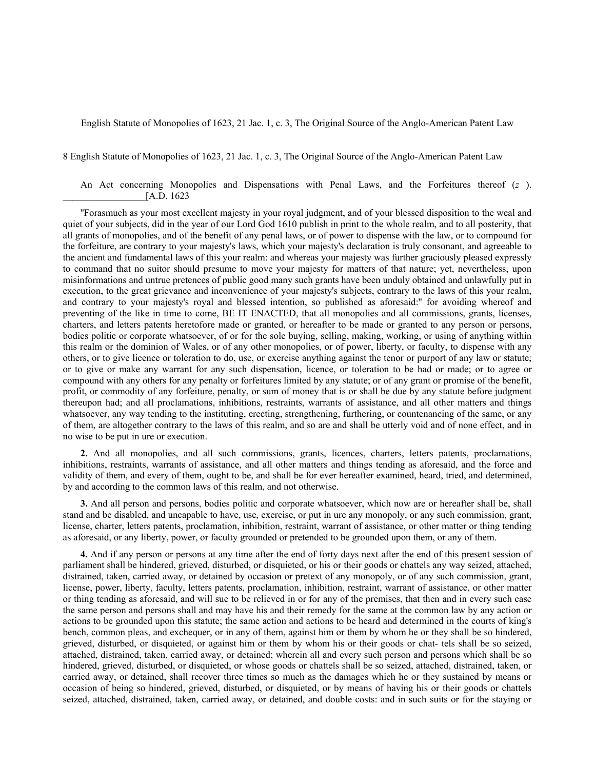English Statute of Monopolies of 1623, 21 Jac. 1, c. 3, The Original Source of the Anglo-American Patent Law

8 English Statute of Monopolies of 1623, 21 Jac. 1, c. 3, The Original Source of the Anglo-American Patent Law

An Act concerning Monopolies and Dispensations with Penal Laws, and the Forfeitures thereof (*z* ). \_\_\_\_\_\_\_\_\_\_\_\_\_\_\_\_\_[A.D. 1623

''Forasmuch as your most excellent majesty in your royal judgment, and of your blessed disposition to the weal and quiet of your subjects, did in the year of our Lord God 1610 publish in print to the whole realm, and to all posterity, that all grants of monopolies, and of the benefit of any penal laws, or of power to dispense with the law, or to compound for the forfeiture, are contrary to your majesty's laws, which your majesty's declaration is truly consonant, and agreeable to the ancient and fundamental laws of this your realm: and whereas your majesty was further graciously pleased expressly to command that no suitor should presume to move your majesty for matters of that nature; yet, nevertheless, upon misinformations and untrue pretences of public good many such grants have been unduly obtained and unlawfully put in execution, to the great grievance and inconvenience of your majesty's subjects, contrary to the laws of this your realm, and contrary to your majesty's royal and blessed intention, so published as aforesaid:'' for avoiding whereof and preventing of the like in time to come, BE IT ENACTED, that all monopolies and all commissions, grants, licenses, charters, and letters patents heretofore made or granted, or hereafter to be made or granted to any person or persons, bodies politic or corporate whatsoever, of or for the sole buying, selling, making, working, or using of anything within this realm or the dominion of Wales, or of any other monopolies, or of power, liberty, or faculty, to dispense with any others, or to give licence or toleration to do, use, or exercise anything against the tenor or purport of any law or statute; or to give or make any warrant for any such dispensation, licence, or toleration to be had or made; or to agree or compound with any others for any penalty or forfeitures limited by any statute; or of any grant or promise of the benefit, profit, or commodity of any forfeiture, penalty, or sum of money that is or shall be due by any statute before judgment thereupon had; and all proclamations, inhibitions, restraints, warrants of assistance, and all other matters and things whatsoever, any way tending to the instituting, erecting, strengthening, furthering, or countenancing of the same, or any of them, are altogether contrary to the laws of this realm, and so are and shall be utterly void and of none effect, and in no wise to be put in ure or execution.

**2.** And all monopolies, and all such commissions, grants, licences, charters, letters patents, proclamations, inhibitions, restraints, warrants of assistance, and all other matters and things tending as aforesaid, and the force and validity of them, and every of them, ought to be, and shall be for ever hereafter examined, heard, tried, and determined, by and according to the common laws of this realm, and not otherwise.

**3.** And all person and persons, bodies politic and corporate whatsoever, which now are or hereafter shall be, shall stand and be disabled, and uncapable to have, use, exercise, or put in ure any monopoly, or any such commission, grant, license, charter, letters patents, proclamation, inhibition, restraint, warrant of assistance, or other matter or thing tending as aforesaid, or any liberty, power, or faculty grounded or pretended to be grounded upon them, or any of them.

**4.** And if any person or persons at any time after the end of forty days next after the end of this present session of parliament shall be hindered, grieved, disturbed, or disquieted, or his or their goods or chattels any way seized, attached, distrained, taken, carried away, or detained by occasion or pretext of any monopoly, or of any such commission, grant, license, power, liberty, faculty, letters patents, proclamation, inhibition, restraint, warrant of assistance, or other matter or thing tending as aforesaid, and will sue to be relieved in or for any of the premises, that then and in every such case the same person and persons shall and may have his and their remedy for the same at the common law by any action or actions to be grounded upon this statute; the same action and actions to be heard and determined in the courts of king's bench, common pleas, and exchequer, or in any of them, against him or them by whom he or they shall be so hindered, grieved, disturbed, or disquieted, or against him or them by whom his or their goods or chat- tels shall be so seized, attached, distrained, taken, carried away, or detained; wherein all and every such person and persons which shall be so hindered, grieved, disturbed, or disquieted, or whose goods or chattels shall be so seized, attached, distrained, taken, or carried away, or detained, shall recover three times so much as the damages which he or they sustained by means or occasion of being so hindered, grieved, disturbed, or disquieted, or by means of having his or their goods or chattels seized, attached, distrained, taken, carried away, or detained, and double costs: and in such suits or for the staying or